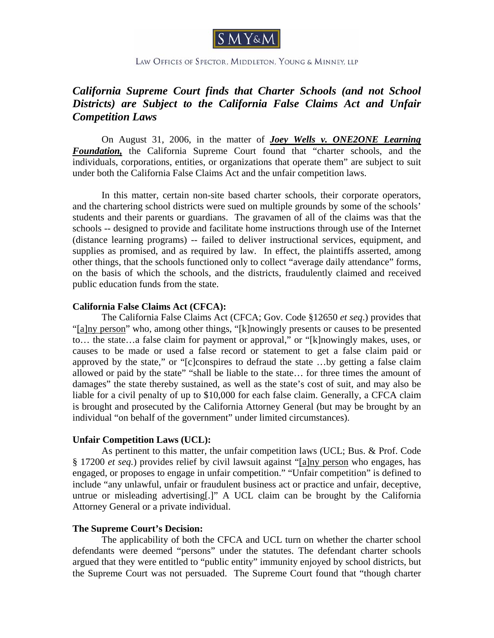

LAW OFFICES OF SPECTOR, MIDDLETON, YOUNG & MINNEY, LLP

# *California Supreme Court finds that Charter Schools (and not School Districts) are Subject to the California False Claims Act and Unfair Competition Laws*

 On August 31, 2006, in the matter of *Joey Wells v. ONE2ONE Learning Foundation,* the California Supreme Court found that "charter schools, and the individuals, corporations, entities, or organizations that operate them" are subject to suit under both the California False Claims Act and the unfair competition laws.

 In this matter, certain non-site based charter schools, their corporate operators, and the chartering school districts were sued on multiple grounds by some of the schools' students and their parents or guardians. The gravamen of all of the claims was that the schools -- designed to provide and facilitate home instructions through use of the Internet (distance learning programs) -- failed to deliver instructional services, equipment, and supplies as promised, and as required by law. In effect, the plaintiffs asserted, among other things, that the schools functioned only to collect "average daily attendance" forms, on the basis of which the schools, and the districts, fraudulently claimed and received public education funds from the state.

#### **California False Claims Act (CFCA):**

The California False Claims Act (CFCA; Gov. Code §12650 *et seq*.) provides that "[a]ny person" who, among other things, "[k]nowingly presents or causes to be presented to… the state…a false claim for payment or approval," or "[k]nowingly makes, uses, or causes to be made or used a false record or statement to get a false claim paid or approved by the state," or "[c]conspires to defraud the state …by getting a false claim allowed or paid by the state" "shall be liable to the state… for three times the amount of damages" the state thereby sustained, as well as the state's cost of suit, and may also be liable for a civil penalty of up to \$10,000 for each false claim. Generally, a CFCA claim is brought and prosecuted by the California Attorney General (but may be brought by an individual "on behalf of the government" under limited circumstances).

## **Unfair Competition Laws (UCL):**

As pertinent to this matter, the unfair competition laws (UCL; Bus. & Prof. Code § 17200 *et seq.*) provides relief by civil lawsuit against "[a]ny person who engages, has engaged, or proposes to engage in unfair competition." "Unfair competition" is defined to include "any unlawful, unfair or fraudulent business act or practice and unfair, deceptive, untrue or misleading advertising[.]" A UCL claim can be brought by the California Attorney General or a private individual.

## **The Supreme Court's Decision:**

 The applicability of both the CFCA and UCL turn on whether the charter school defendants were deemed "persons" under the statutes. The defendant charter schools argued that they were entitled to "public entity" immunity enjoyed by school districts, but the Supreme Court was not persuaded. The Supreme Court found that "though charter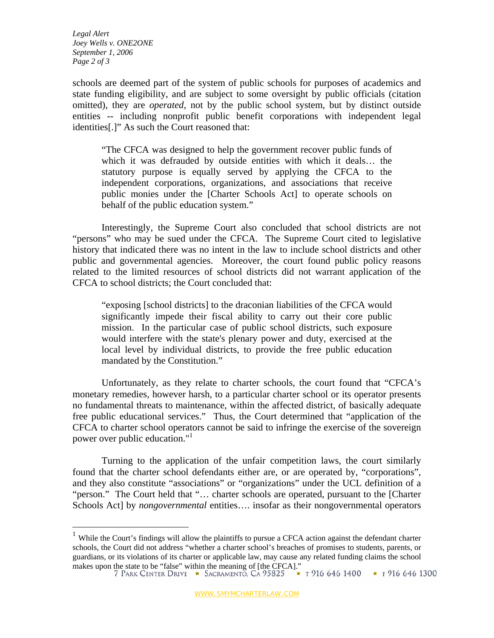*Legal Alert Joey Wells v. ONE2ONE September 1, 2006 Page 2 of 3* 

1

schools are deemed part of the system of public schools for purposes of academics and state funding eligibility, and are subject to some oversight by public officials (citation omitted), they are *operated*, not by the public school system, but by distinct outside entities -- including nonprofit public benefit corporations with independent legal identities[.]" As such the Court reasoned that:

"The CFCA was designed to help the government recover public funds of which it was defrauded by outside entities with which it deals… the statutory purpose is equally served by applying the CFCA to the independent corporations, organizations, and associations that receive public monies under the [Charter Schools Act] to operate schools on behalf of the public education system."

 Interestingly, the Supreme Court also concluded that school districts are not "persons" who may be sued under the CFCA. The Supreme Court cited to legislative history that indicated there was no intent in the law to include school districts and other public and governmental agencies. Moreover, the court found public policy reasons related to the limited resources of school districts did not warrant application of the CFCA to school districts; the Court concluded that:

"exposing [school districts] to the draconian liabilities of the CFCA would significantly impede their fiscal ability to carry out their core public mission. In the particular case of public school districts, such exposure would interfere with the state's plenary power and duty, exercised at the local level by individual districts, to provide the free public education mandated by the Constitution."

 Unfortunately, as they relate to charter schools, the court found that "CFCA's monetary remedies, however harsh, to a particular charter school or its operator presents no fundamental threats to maintenance, within the affected district, of basically adequate free public educational services." Thus, the Court determined that "application of the CFCA to charter school operators cannot be said to infringe the exercise of the sovereign power over public education."1

 Turning to the application of the unfair competition laws, the court similarly found that the charter school defendants either are, or are operated by, "corporations", and they also constitute "associations" or "organizations" under the UCL definition of a "person." The Court held that "… charter schools are operated, pursuant to the [Charter Schools Act] by *nongovernmental* entities…. insofar as their nongovernmental operators

<sup>&</sup>lt;sup>1</sup> While the Court's findings will allow the plaintiffs to pursue a CFCA action against the defendant charter schools, the Court did not address "whether a charter school's breaches of promises to students, parents, or guardians, or its violations of its charter or applicable law, may cause any related funding claims the school makes upon the state to be "false" within the meaning of [the CFCA]."<br>
7 PARK CENTER DRIVE SACRAMENTO, CA 95825 THEORY 1916 646 1400 THEORY 1300